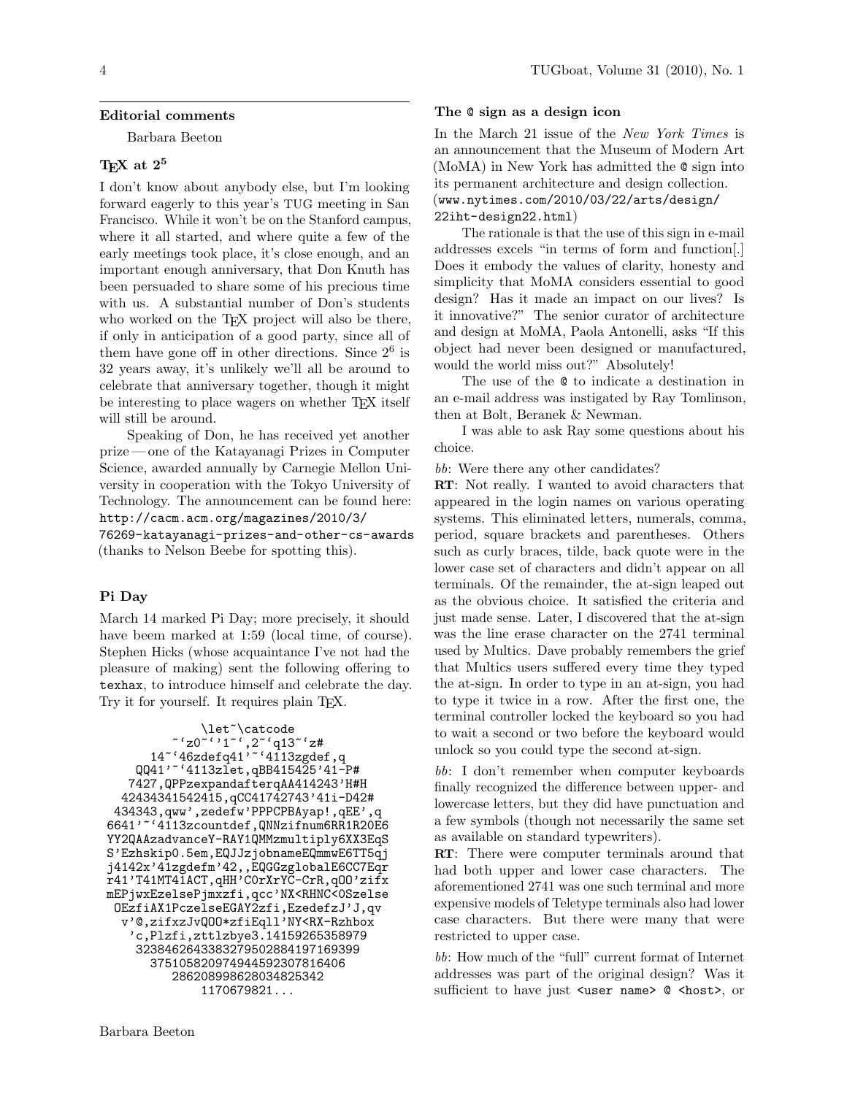## Editorial comments

Barbara Beeton

# TFX at  $2^5$

I don't know about anybody else, but I'm looking forward eagerly to this year's TUG meeting in San Francisco. While it won't be on the Stanford campus, where it all started, and where quite a few of the early meetings took place, it's close enough, and an important enough anniversary, that Don Knuth has been persuaded to share some of his precious time with us. A substantial number of Don's students who worked on the TEX project will also be there, if only in anticipation of a good party, since all of them have gone off in other directions. Since  $2^6$  is 32 years away, it's unlikely we'll all be around to celebrate that anniversary together, though it might be interesting to place wagers on whether TEX itself will still be around.

Speaking of Don, he has received yet another prize— one of the Katayanagi Prizes in Computer Science, awarded annually by Carnegie Mellon University in cooperation with the Tokyo University of Technology. The announcement can be found here: http://cacm.acm.org/magazines/2010/3/

76269-katayanagi-prizes-and-other-cs-awards (thanks to Nelson Beebe for spotting this).

## Pi Day

March 14 marked Pi Day; more precisely, it should have beem marked at 1:59 (local time, of course). Stephen Hicks (whose acquaintance I've not had the pleasure of making) sent the following offering to texhax, to introduce himself and celebrate the day. Try it for yourself. It requires plain T<sub>EX</sub>.

```
\let~\catcode
             \tilde{ } \tilde{ } \tilde{ } \tilde{ } \tilde{ } \tilde{ } \tilde{ } \tilde{ } \tilde{ } \tilde{ } \tilde{ } \tilde{ } \tilde{ } \tilde{ } \tilde{ } \tilde{ } \tilde{ } \tilde{ } \tilde{ } \tilde{ } \tilde{ } \tilde{ } \tilde{ } \tilde{ } \tilde{ } \tilde{ } \tilde{ } \tilde{14~'46zdefq41'~'4113zgdef,q
     QQ41'~'4113zlet,qBB415425'41-P#
    7427,QPPzexpandafterqAA414243'H#H
   42434341542415,qCC41742743'41i-D42#
 434343,qww',zedefw'PPPCPBAyap!,qEE',q
6641'~'4113zcountdef,QNNzifnum6RR1R20E6
YY2QAAzadvanceY-RAY1QMMzmultiply6XX3EqS
S'Ezhskip0.5em,EQJJzjobnameEQmmwE6TT5qj
j4142x'41zgdefm'42,,EQGGzglobalE6CC7Eqr
r41'T41MT41ACT,qHH'C0rXrYC-CrR,qOO'zifx
mEPjwxEzelsePjmxzfi,qcc'NX<RHNC<0Szelse
 OEzfiAX1PczelseEGAY2zfi,EzedefzJ'J,qv
   v'@,zifxzJvQOO*zfiEqll'NY<RX-Rzhbox
    'c,Plzfi,zttlzbye3.14159265358979
     3238462643383279502884197169399
        375105820974944592307816406
             286208998628034825342
                  1170679821...
```
## The @ sign as a design icon

In the March 21 issue of the New York Times is an announcement that the Museum of Modern Art (MoMA) in New York has admitted the @ sign into its permanent architecture and design collection. (www.nytimes.com/2010/03/22/arts/design/ 22iht-design22.html)

The rationale is that the use of this sign in e-mail addresses excels "in terms of form and function[.] Does it embody the values of clarity, honesty and simplicity that MoMA considers essential to good design? Has it made an impact on our lives? Is it innovative?" The senior curator of architecture and design at MoMA, Paola Antonelli, asks "If this object had never been designed or manufactured, would the world miss out?" Absolutely!

The use of the @ to indicate a destination in an e-mail address was instigated by Ray Tomlinson, then at Bolt, Beranek & Newman.

I was able to ask Ray some questions about his choice.

bb: Were there any other candidates?

RT: Not really. I wanted to avoid characters that appeared in the login names on various operating systems. This eliminated letters, numerals, comma, period, square brackets and parentheses. Others such as curly braces, tilde, back quote were in the lower case set of characters and didn't appear on all terminals. Of the remainder, the at-sign leaped out as the obvious choice. It satisfied the criteria and just made sense. Later, I discovered that the at-sign was the line erase character on the 2741 terminal used by Multics. Dave probably remembers the grief that Multics users suffered every time they typed the at-sign. In order to type in an at-sign, you had to type it twice in a row. After the first one, the terminal controller locked the keyboard so you had to wait a second or two before the keyboard would unlock so you could type the second at-sign.

bb: I don't remember when computer keyboards finally recognized the difference between upper- and lowercase letters, but they did have punctuation and a few symbols (though not necessarily the same set as available on standard typewriters).

RT: There were computer terminals around that had both upper and lower case characters. The aforementioned 2741 was one such terminal and more expensive models of Teletype terminals also had lower case characters. But there were many that were restricted to upper case.

bb: How much of the "full" current format of Internet addresses was part of the original design? Was it sufficient to have just <user name> @ <host>, or